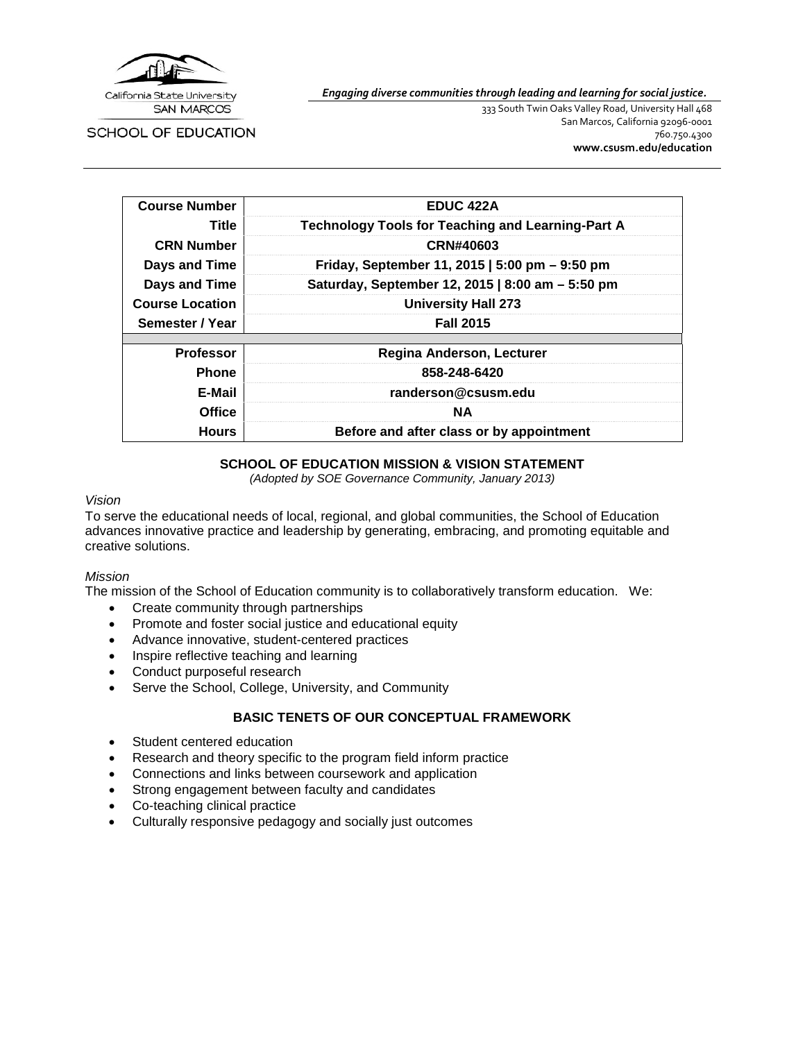

**SCHOOL OF EDUCATION** 

*Engaging diverse communities through leading and learning for social justice.*

333 South Twin Oaks Valley Road, University Hall 468 San Marcos, California 92096-0001 760.750.4300 **[www.csusm.edu/education](http://www.csusm.edu/education)**

| <b>Course Number</b>   | <b>EDUC 422A</b>                                         |
|------------------------|----------------------------------------------------------|
| Title                  | <b>Technology Tools for Teaching and Learning-Part A</b> |
| <b>CRN Number</b>      | CRN#40603                                                |
| Days and Time          | Friday, September 11, 2015   5:00 pm - 9:50 pm           |
| Days and Time          | Saturday, September 12, 2015   8:00 am - 5:50 pm         |
| <b>Course Location</b> | <b>University Hall 273</b>                               |
| Semester / Year        | <b>Fall 2015</b>                                         |
| <b>Professor</b>       |                                                          |
|                        | Regina Anderson, Lecturer                                |
| Phone                  | 858-248-6420                                             |
| E-Mail                 | randerson@csusm.edu                                      |
| <b>Office</b>          | <b>NA</b>                                                |
| <b>Hours</b>           | Before and after class or by appointment                 |

# **SCHOOL OF EDUCATION MISSION & VISION STATEMENT**

*(Adopted by SOE Governance Community, January 2013)*

#### *Vision*

To serve the educational needs of local, regional, and global communities, the School of Education advances innovative practice and leadership by generating, embracing, and promoting equitable and creative solutions.

#### *Mission*

The mission of the School of Education community is to collaboratively transform education. We:

- Create community through partnerships
- Promote and foster social justice and educational equity
- Advance innovative, student-centered practices
- Inspire reflective teaching and learning
- Conduct purposeful research
- Serve the School, College, University, and Community

#### **BASIC TENETS OF OUR CONCEPTUAL FRAMEWORK**

- Student centered education
- Research and theory specific to the program field inform practice
- Connections and links between coursework and application
- Strong engagement between faculty and candidates
- Co-teaching clinical practice
- Culturally responsive pedagogy and socially just outcomes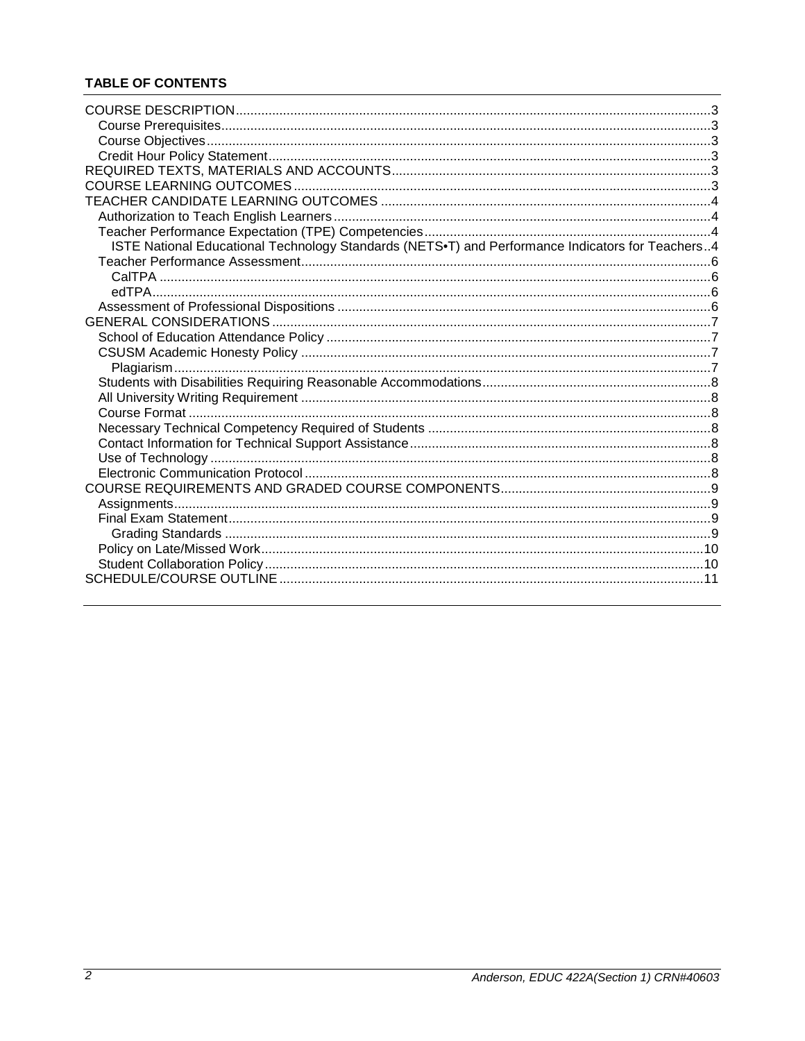# **TABLE OF CONTENTS**

| ISTE National Educational Technology Standards (NETS.T) and Performance Indicators for Teachers4 |  |
|--------------------------------------------------------------------------------------------------|--|
|                                                                                                  |  |
|                                                                                                  |  |
|                                                                                                  |  |
|                                                                                                  |  |
|                                                                                                  |  |
|                                                                                                  |  |
|                                                                                                  |  |
|                                                                                                  |  |
|                                                                                                  |  |
|                                                                                                  |  |
|                                                                                                  |  |
|                                                                                                  |  |
|                                                                                                  |  |
|                                                                                                  |  |
|                                                                                                  |  |
|                                                                                                  |  |
|                                                                                                  |  |
|                                                                                                  |  |
|                                                                                                  |  |
|                                                                                                  |  |
|                                                                                                  |  |
|                                                                                                  |  |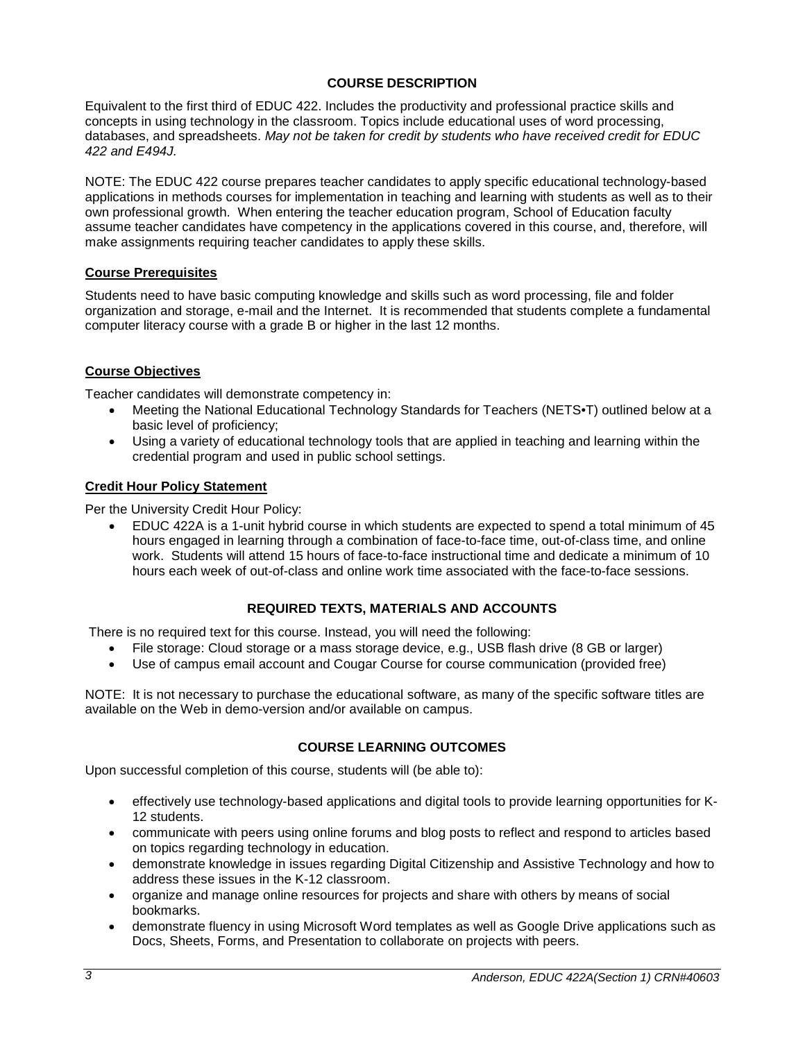# **COURSE DESCRIPTION**

<span id="page-2-0"></span>Equivalent to the first third of EDUC 422. Includes the productivity and professional practice skills and concepts in using technology in the classroom. Topics include educational uses of word processing, databases, and spreadsheets. *May not be taken for credit by students who have received credit for EDUC 422 and E494J.*

NOTE: The EDUC 422 course prepares teacher candidates to apply specific educational technology-based applications in methods courses for implementation in teaching and learning with students as well as to their own professional growth. When entering the teacher education program, School of Education faculty assume teacher candidates have competency in the applications covered in this course, and, therefore, will make assignments requiring teacher candidates to apply these skills.

### <span id="page-2-1"></span>**Course Prerequisites**

Students need to have basic computing knowledge and skills such as word processing, file and folder organization and storage, e-mail and the Internet. It is recommended that students complete a fundamental computer literacy course with a grade B or higher in the last 12 months.

# <span id="page-2-2"></span>**Course Objectives**

Teacher candidates will demonstrate competency in:

- Meeting the National Educational Technology Standards for Teachers (NETS•T) outlined below at a basic level of proficiency;
- Using a variety of educational technology tools that are applied in teaching and learning within the credential program and used in public school settings.

### <span id="page-2-3"></span>**Credit Hour Policy Statement**

Per the University Credit Hour Policy:

• EDUC 422A is a 1-unit hybrid course in which students are expected to spend a total minimum of 45 hours engaged in learning through a combination of face-to-face time, out-of-class time, and online work. Students will attend 15 hours of face-to-face instructional time and dedicate a minimum of 10 hours each week of out-of-class and online work time associated with the face-to-face sessions.

# **REQUIRED TEXTS, MATERIALS AND ACCOUNTS**

<span id="page-2-4"></span>There is no required text for this course. Instead, you will need the following:

- File storage: Cloud storage or a mass storage device, e.g., USB flash drive (8 GB or larger)
- Use of campus email account and Cougar Course for course communication (provided free)

NOTE: It is not necessary to purchase the educational software, as many of the specific software titles are available on the Web in demo-version and/or available on campus.

# **COURSE LEARNING OUTCOMES**

<span id="page-2-5"></span>Upon successful completion of this course, students will (be able to):

- effectively use technology-based applications and digital tools to provide learning opportunities for K-12 students.
- communicate with peers using online forums and blog posts to reflect and respond to articles based on topics regarding technology in education.
- demonstrate knowledge in issues regarding Digital Citizenship and Assistive Technology and how to address these issues in the K-12 classroom.
- organize and manage online resources for projects and share with others by means of social bookmarks.
- demonstrate fluency in using Microsoft Word templates as well as Google Drive applications such as Docs, Sheets, Forms, and Presentation to collaborate on projects with peers.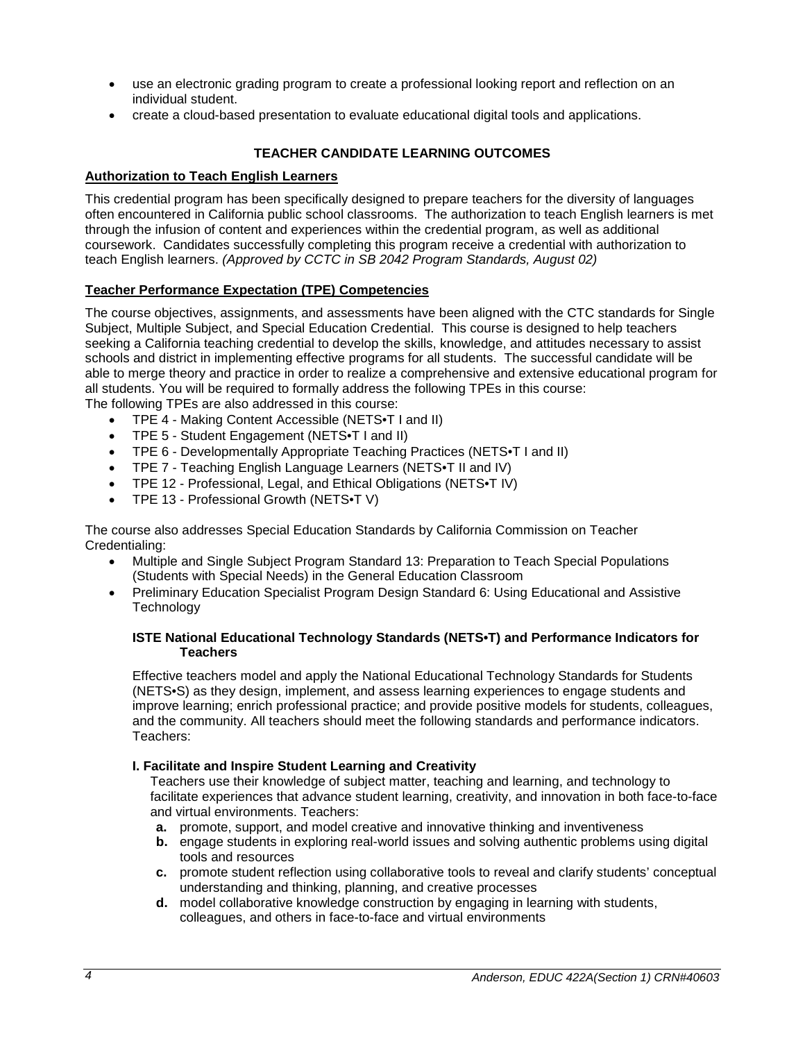- use an electronic grading program to create a professional looking report and reflection on an individual student.
- create a cloud-based presentation to evaluate educational digital tools and applications.

# **TEACHER CANDIDATE LEARNING OUTCOMES**

### <span id="page-3-1"></span><span id="page-3-0"></span>**Authorization to Teach English Learners**

This credential program has been specifically designed to prepare teachers for the diversity of languages often encountered in California public school classrooms. The authorization to teach English learners is met through the infusion of content and experiences within the credential program, as well as additional coursework. Candidates successfully completing this program receive a credential with authorization to teach English learners. *(Approved by CCTC in SB 2042 Program Standards, August 02)*

# <span id="page-3-2"></span>**Teacher Performance Expectation (TPE) Competencies**

The course objectives, assignments, and assessments have been aligned with the CTC standards for Single Subject, Multiple Subject, and Special Education Credential. This course is designed to help teachers seeking a California teaching credential to develop the skills, knowledge, and attitudes necessary to assist schools and district in implementing effective programs for all students. The successful candidate will be able to merge theory and practice in order to realize a comprehensive and extensive educational program for all students. You will be required to formally address the following TPEs in this course: The following TPEs are also addressed in this course:

- TPE 4 Making Content Accessible (NETS•T I and II)
- TPE 5 Student Engagement (NETS•T I and II)
- TPE 6 Developmentally Appropriate Teaching Practices (NETS•T I and II)
- TPE 7 Teaching English Language Learners (NETS•T II and IV)
- TPE 12 Professional, Legal, and Ethical Obligations (NETS•T IV)
- TPE 13 Professional Growth (NETS•T V)

The course also addresses Special Education Standards by California Commission on Teacher Credentialing:

- Multiple and Single Subject Program Standard 13: Preparation to Teach Special Populations (Students with Special Needs) in the General Education Classroom
- Preliminary Education Specialist Program Design Standard 6: Using Educational and Assistive **Technology**

### <span id="page-3-3"></span>**ISTE National Educational Technology Standards (NETS•T) and Performance Indicators for Teachers**

Effective teachers model and apply the National Educational Technology Standards for Students (NETS•S) as they design, implement, and assess learning experiences to engage students and improve learning; enrich professional practice; and provide positive models for students, colleagues, and the community. All teachers should meet the following standards and performance indicators. Teachers:

# **I. Facilitate and Inspire Student Learning and Creativity**

Teachers use their knowledge of subject matter, teaching and learning, and technology to facilitate experiences that advance student learning, creativity, and innovation in both face-to-face and virtual environments. Teachers:

- **a.** promote, support, and model creative and innovative thinking and inventiveness
- **b.** engage students in exploring real-world issues and solving authentic problems using digital tools and resources
- **c.** promote student reflection using collaborative tools to reveal and clarify students' conceptual understanding and thinking, planning, and creative processes
- **d.** model collaborative knowledge construction by engaging in learning with students, colleagues, and others in face-to-face and virtual environments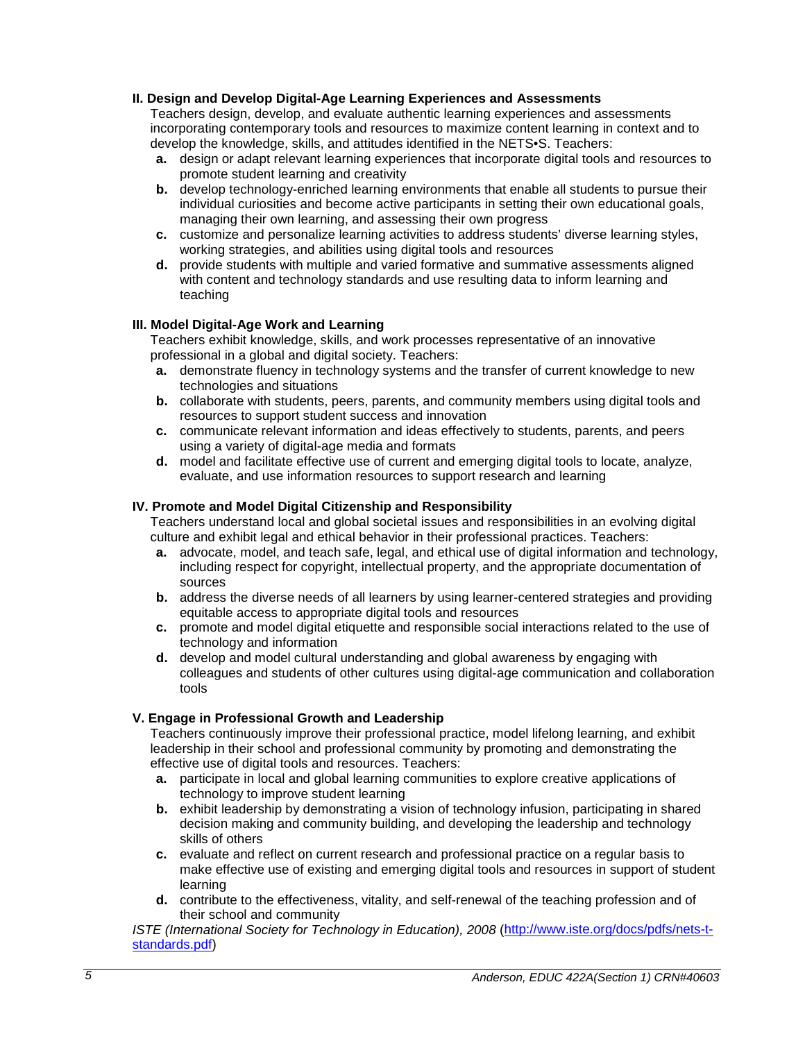# **II. Design and Develop Digital-Age Learning Experiences and Assessments**

Teachers design, develop, and evaluate authentic learning experiences and assessments incorporating contemporary tools and resources to maximize content learning in context and to develop the knowledge, skills, and attitudes identified in the NETS•S. Teachers:

- **a.** design or adapt relevant learning experiences that incorporate digital tools and resources to promote student learning and creativity
- **b.** develop technology-enriched learning environments that enable all students to pursue their individual curiosities and become active participants in setting their own educational goals, managing their own learning, and assessing their own progress
- **c.** customize and personalize learning activities to address students' diverse learning styles, working strategies, and abilities using digital tools and resources
- **d.** provide students with multiple and varied formative and summative assessments aligned with content and technology standards and use resulting data to inform learning and teaching

# **III. Model Digital-Age Work and Learning**

Teachers exhibit knowledge, skills, and work processes representative of an innovative professional in a global and digital society. Teachers:

- **a.** demonstrate fluency in technology systems and the transfer of current knowledge to new technologies and situations
- **b.** collaborate with students, peers, parents, and community members using digital tools and resources to support student success and innovation
- **c.** communicate relevant information and ideas effectively to students, parents, and peers using a variety of digital-age media and formats
- **d.** model and facilitate effective use of current and emerging digital tools to locate, analyze, evaluate, and use information resources to support research and learning

# **IV. Promote and Model Digital Citizenship and Responsibility**

Teachers understand local and global societal issues and responsibilities in an evolving digital culture and exhibit legal and ethical behavior in their professional practices. Teachers:

- **a.** advocate, model, and teach safe, legal, and ethical use of digital information and technology, including respect for copyright, intellectual property, and the appropriate documentation of sources
- **b.** address the diverse needs of all learners by using learner-centered strategies and providing equitable access to appropriate digital tools and resources
- **c.** promote and model digital etiquette and responsible social interactions related to the use of technology and information
- **d.** develop and model cultural understanding and global awareness by engaging with colleagues and students of other cultures using digital-age communication and collaboration tools

# **V. Engage in Professional Growth and Leadership**

Teachers continuously improve their professional practice, model lifelong learning, and exhibit leadership in their school and professional community by promoting and demonstrating the effective use of digital tools and resources. Teachers:

- **a.** participate in local and global learning communities to explore creative applications of technology to improve student learning
- **b.** exhibit leadership by demonstrating a vision of technology infusion, participating in shared decision making and community building, and developing the leadership and technology skills of others
- **c.** evaluate and reflect on current research and professional practice on a regular basis to make effective use of existing and emerging digital tools and resources in support of student learning
- **d.** contribute to the effectiveness, vitality, and self-renewal of the teaching profession and of their school and community

*ISTE (International Society for Technology in Education), 2008* [\(http://www.iste.org/docs/pdfs/nets-t](http://www.iste.org/docs/pdfs/nets-t-standards.pdf)[standards.pdf\)](http://www.iste.org/docs/pdfs/nets-t-standards.pdf)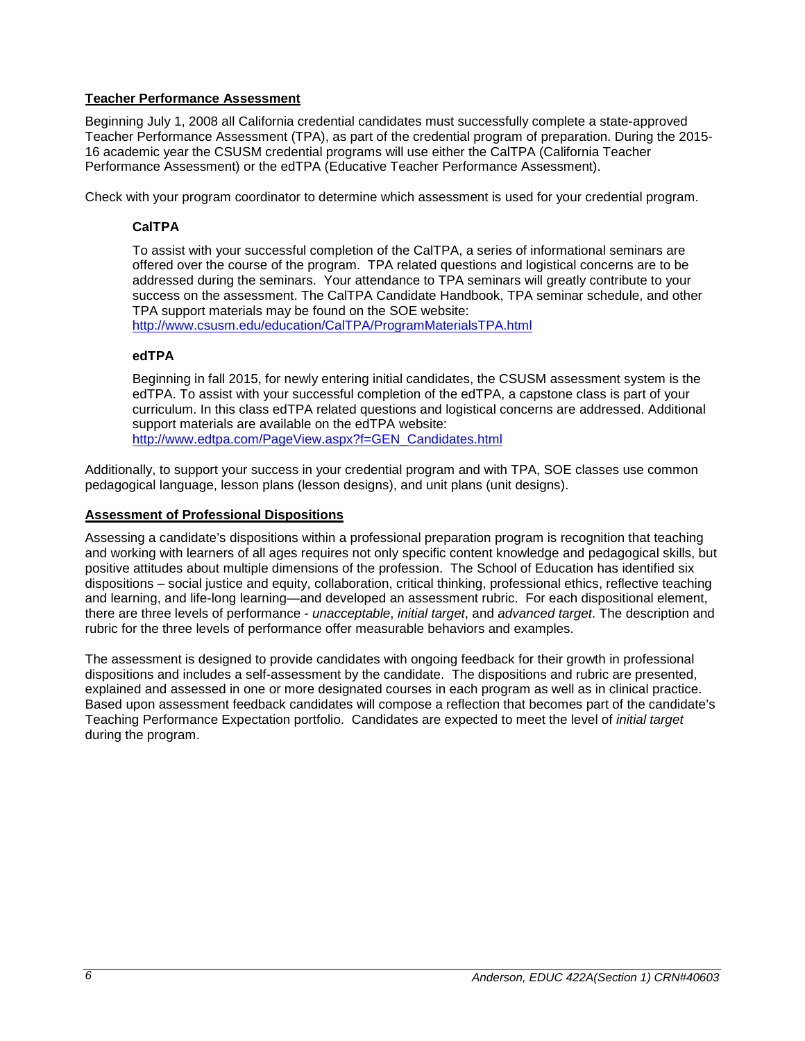# <span id="page-5-0"></span>**Teacher Performance Assessment**

Beginning July 1, 2008 all California credential candidates must successfully complete a state-approved Teacher Performance Assessment (TPA), as part of the credential program of preparation. During the 2015- 16 academic year the CSUSM credential programs will use either the CalTPA (California Teacher Performance Assessment) or the edTPA (Educative Teacher Performance Assessment).

<span id="page-5-1"></span>Check with your program coordinator to determine which assessment is used for your credential program.

# **CalTPA**

To assist with your successful completion of the CalTPA, a series of informational seminars are offered over the course of the program. TPA related questions and logistical concerns are to be addressed during the seminars. Your attendance to TPA seminars will greatly contribute to your success on the assessment. The CalTPA Candidate Handbook, TPA seminar schedule, and other TPA support materials may be found on the SOE website:

<http://www.csusm.edu/education/CalTPA/ProgramMaterialsTPA.html>

# <span id="page-5-2"></span>**edTPA**

Beginning in fall 2015, for newly entering initial candidates, the CSUSM assessment system is the edTPA. To assist with your successful completion of the edTPA, a capstone class is part of your curriculum. In this class edTPA related questions and logistical concerns are addressed. Additional support materials are available on the edTPA website: [http://www.edtpa.com/PageView.aspx?f=GEN\\_Candidates.html](http://www.edtpa.com/PageView.aspx?f=GEN_Candidates.html)

Additionally, to support your success in your credential program and with TPA, SOE classes use common pedagogical language, lesson plans (lesson designs), and unit plans (unit designs).

### <span id="page-5-3"></span>**Assessment of Professional Dispositions**

Assessing a candidate's dispositions within a professional preparation program is recognition that teaching and working with learners of all ages requires not only specific content knowledge and pedagogical skills, but positive attitudes about multiple dimensions of the profession. The School of Education has identified six dispositions – social justice and equity, collaboration, critical thinking, professional ethics, reflective teaching and learning, and life-long learning—and developed an assessment rubric. For each dispositional element, there are three levels of performance - *unacceptable*, *initial target*, and *advanced target*. The description and rubric for the three levels of performance offer measurable behaviors and examples.

The assessment is designed to provide candidates with ongoing feedback for their growth in professional dispositions and includes a self-assessment by the candidate. The dispositions and rubric are presented, explained and assessed in one or more designated courses in each program as well as in clinical practice. Based upon assessment feedback candidates will compose a reflection that becomes part of the candidate's Teaching Performance Expectation portfolio. Candidates are expected to meet the level of *initial target* during the program.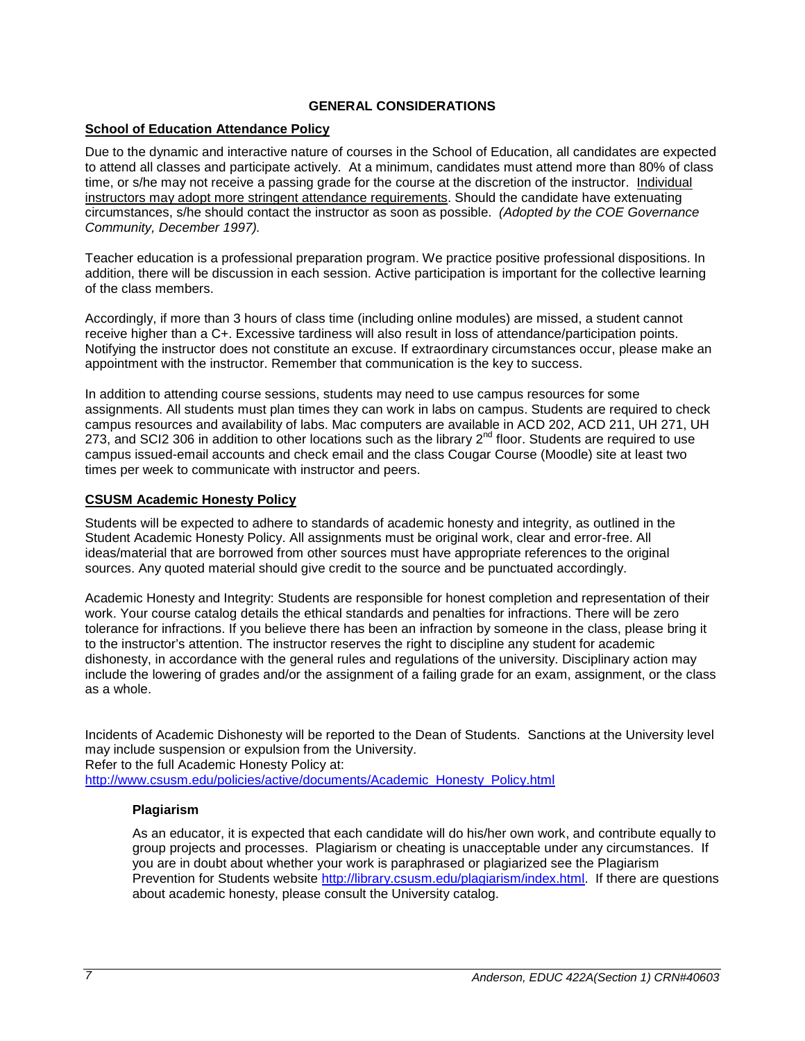# **GENERAL CONSIDERATIONS**

# <span id="page-6-1"></span><span id="page-6-0"></span>**School of Education Attendance Policy**

Due to the dynamic and interactive nature of courses in the School of Education, all candidates are expected to attend all classes and participate actively. At a minimum, candidates must attend more than 80% of class time, or s/he may not receive a passing grade for the course at the discretion of the instructor. Individual instructors may adopt more stringent attendance requirements. Should the candidate have extenuating circumstances, s/he should contact the instructor as soon as possible. *(Adopted by the COE Governance Community, December 1997).*

Teacher education is a professional preparation program. We practice positive professional dispositions. In addition, there will be discussion in each session. Active participation is important for the collective learning of the class members.

Accordingly, if more than 3 hours of class time (including online modules) are missed, a student cannot receive higher than a C+. Excessive tardiness will also result in loss of attendance/participation points. Notifying the instructor does not constitute an excuse. If extraordinary circumstances occur, please make an appointment with the instructor. Remember that communication is the key to success.

In addition to attending course sessions, students may need to use campus resources for some assignments. All students must plan times they can work in labs on campus. Students are required to check campus resources and availability of labs. Mac computers are available in ACD 202, ACD 211, UH 271, UH 273, and SCI2 306 in addition to other locations such as the library  $2^{nd}$  floor. Students are required to use campus issued-email accounts and check email and the class Cougar Course (Moodle) site at least two times per week to communicate with instructor and peers.

### <span id="page-6-2"></span>**CSUSM Academic Honesty Policy**

Students will be expected to adhere to standards of academic honesty and integrity, as outlined in the Student Academic Honesty Policy. All assignments must be original work, clear and error-free. All ideas/material that are borrowed from other sources must have appropriate references to the original sources. Any quoted material should give credit to the source and be punctuated accordingly.

Academic Honesty and Integrity: Students are responsible for honest completion and representation of their work. Your course catalog details the ethical standards and penalties for infractions. There will be zero tolerance for infractions. If you believe there has been an infraction by someone in the class, please bring it to the instructor's attention. The instructor reserves the right to discipline any student for academic dishonesty, in accordance with the general rules and regulations of the university. Disciplinary action may include the lowering of grades and/or the assignment of a failing grade for an exam, assignment, or the class as a whole.

Incidents of Academic Dishonesty will be reported to the Dean of Students. Sanctions at the University level may include suspension or expulsion from the University. Refer to the full Academic Honesty Policy at: [http://www.csusm.edu/policies/active/documents/Academic\\_Honesty\\_Policy.html](http://www.csusm.edu/policies/active/documents/Academic_Honesty_Policy.html)

# <span id="page-6-3"></span>**Plagiarism**

As an educator, it is expected that each candidate will do his/her own work, and contribute equally to group projects and processes. Plagiarism or cheating is unacceptable under any circumstances. If you are in doubt about whether your work is paraphrased or plagiarized see the Plagiarism Prevention for Students website [http://library.csusm.edu/plagiarism/index.html.](http://library.csusm.edu/plagiarism/index.html) If there are questions about academic honesty, please consult the University catalog.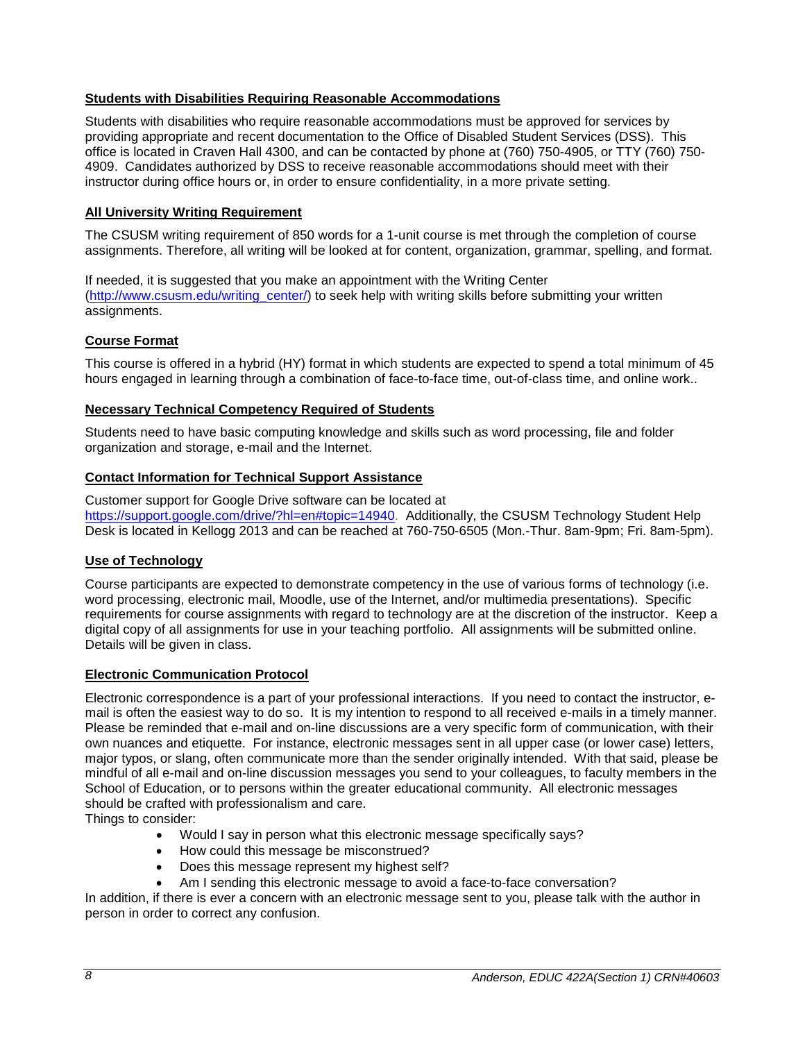# <span id="page-7-0"></span>**Students with Disabilities Requiring Reasonable Accommodations**

Students with disabilities who require reasonable accommodations must be approved for services by providing appropriate and recent documentation to the Office of Disabled Student Services (DSS). This office is located in Craven Hall 4300, and can be contacted by phone at (760) 750-4905, or TTY (760) 750- 4909. Candidates authorized by DSS to receive reasonable accommodations should meet with their instructor during office hours or, in order to ensure confidentiality, in a more private setting.

# <span id="page-7-1"></span>**All University Writing Requirement**

The CSUSM writing requirement of 850 words for a 1-unit course is met through the completion of course assignments. Therefore, all writing will be looked at for content, organization, grammar, spelling, and format.

If needed, it is suggested that you make an appointment with the Writing Center [\(http://www.csusm.edu/writing\\_center/\)](http://www.csusm.edu/writing_center/) to seek help with writing skills before submitting your written assignments.

# <span id="page-7-2"></span>**Course Format**

This course is offered in a hybrid (HY) format in which students are expected to spend a total minimum of 45 hours engaged in learning through a combination of face-to-face time, out-of-class time, and online work..

# <span id="page-7-3"></span>**Necessary Technical Competency Required of Students**

Students need to have basic computing knowledge and skills such as word processing, file and folder organization and storage, e-mail and the Internet.

# <span id="page-7-4"></span>**Contact Information for Technical Support Assistance**

Customer support for Google Drive software can be located at [https://support.google.com/drive/?hl=en#topic=14940.](https://support.google.com/drive/?hl=en#topic=14940) Additionally, the CSUSM Technology Student Help Desk is located in Kellogg 2013 and can be reached at 760-750-6505 (Mon.-Thur. 8am-9pm; Fri. 8am-5pm).

# <span id="page-7-5"></span>**Use of Technology**

Course participants are expected to demonstrate competency in the use of various forms of technology (i.e. word processing, electronic mail, Moodle, use of the Internet, and/or multimedia presentations). Specific requirements for course assignments with regard to technology are at the discretion of the instructor. Keep a digital copy of all assignments for use in your teaching portfolio. All assignments will be submitted online. Details will be given in class.

# <span id="page-7-6"></span>**Electronic Communication Protocol**

Electronic correspondence is a part of your professional interactions. If you need to contact the instructor, email is often the easiest way to do so. It is my intention to respond to all received e-mails in a timely manner. Please be reminded that e-mail and on-line discussions are a very specific form of communication, with their own nuances and etiquette. For instance, electronic messages sent in all upper case (or lower case) letters, major typos, or slang, often communicate more than the sender originally intended. With that said, please be mindful of all e-mail and on-line discussion messages you send to your colleagues, to faculty members in the School of Education, or to persons within the greater educational community. All electronic messages should be crafted with professionalism and care.

Things to consider:

- Would I say in person what this electronic message specifically says?
- How could this message be misconstrued?
- Does this message represent my highest self?
- Am I sending this electronic message to avoid a face-to-face conversation?

In addition, if there is ever a concern with an electronic message sent to you, please talk with the author in person in order to correct any confusion.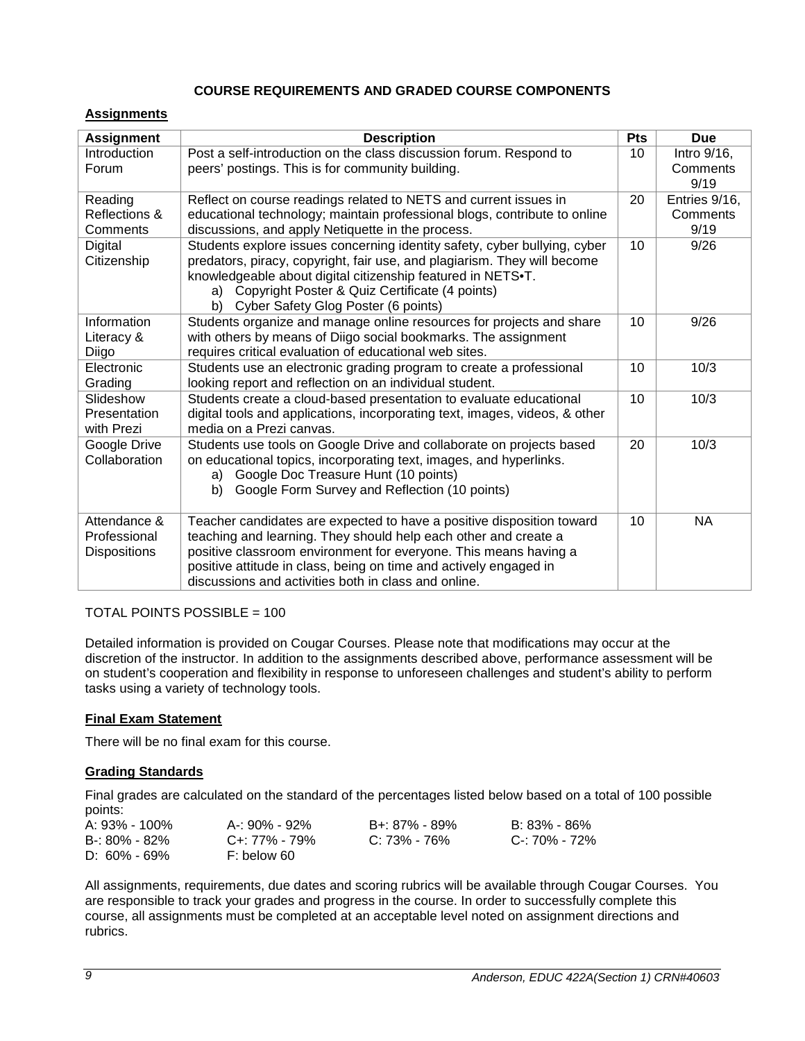# **COURSE REQUIREMENTS AND GRADED COURSE COMPONENTS**

### <span id="page-8-1"></span><span id="page-8-0"></span>**Assignments**

| <b>Assignment</b>   | <b>Description</b>                                                                                                             | Pts | <b>Due</b>    |
|---------------------|--------------------------------------------------------------------------------------------------------------------------------|-----|---------------|
| Introduction        | Post a self-introduction on the class discussion forum. Respond to                                                             |     | Intro 9/16,   |
| Forum               | peers' postings. This is for community building.                                                                               |     | Comments      |
|                     |                                                                                                                                | 20  | 9/19          |
| Reading             | Reflect on course readings related to NETS and current issues in                                                               |     | Entries 9/16, |
| Reflections &       | educational technology; maintain professional blogs, contribute to online                                                      |     | Comments      |
| Comments            | discussions, and apply Netiquette in the process.                                                                              |     | 9/19          |
| Digital             | Students explore issues concerning identity safety, cyber bullying, cyber                                                      | 10  | 9/26          |
| Citizenship         | predators, piracy, copyright, fair use, and plagiarism. They will become                                                       |     |               |
|                     | knowledgeable about digital citizenship featured in NETS.T.                                                                    |     |               |
|                     | a) Copyright Poster & Quiz Certificate (4 points)                                                                              |     |               |
|                     | b) Cyber Safety Glog Poster (6 points)                                                                                         |     |               |
| Information         | Students organize and manage online resources for projects and share                                                           | 10  | 9/26          |
| Literacy &          | with others by means of Diigo social bookmarks. The assignment                                                                 |     |               |
| Diigo<br>Electronic | requires critical evaluation of educational web sites.                                                                         |     |               |
| Grading             | Students use an electronic grading program to create a professional<br>looking report and reflection on an individual student. | 10  | 10/3          |
| Slideshow           | Students create a cloud-based presentation to evaluate educational                                                             |     | 10/3          |
| Presentation        | digital tools and applications, incorporating text, images, videos, & other                                                    | 10  |               |
| with Prezi          | media on a Prezi canvas.                                                                                                       |     |               |
| Google Drive        | Students use tools on Google Drive and collaborate on projects based                                                           | 20  | 10/3          |
| Collaboration       | on educational topics, incorporating text, images, and hyperlinks.                                                             |     |               |
|                     | Google Doc Treasure Hunt (10 points)<br>a)                                                                                     |     |               |
|                     | Google Form Survey and Reflection (10 points)<br>b)                                                                            |     |               |
|                     |                                                                                                                                |     |               |
| Attendance &        | Teacher candidates are expected to have a positive disposition toward                                                          | 10  | <b>NA</b>     |
| Professional        | teaching and learning. They should help each other and create a                                                                |     |               |
| <b>Dispositions</b> | positive classroom environment for everyone. This means having a                                                               |     |               |
|                     | positive attitude in class, being on time and actively engaged in                                                              |     |               |
|                     | discussions and activities both in class and online.                                                                           |     |               |

# TOTAL POINTS POSSIBLE = 100

Detailed information is provided on Cougar Courses. Please note that modifications may occur at the discretion of the instructor. In addition to the assignments described above, performance assessment will be on student's cooperation and flexibility in response to unforeseen challenges and student's ability to perform tasks using a variety of technology tools.

# <span id="page-8-2"></span>**Final Exam Statement**

There will be no final exam for this course.

#### <span id="page-8-3"></span>**Grading Standards**

Final grades are calculated on the standard of the percentages listed below based on a total of 100 possible points:

| A: 93% - 100%     | A-: 90% - 92%       | B+: 87% - 89% | B: 83% - 86%  |
|-------------------|---------------------|---------------|---------------|
| $B - 80\% - 82\%$ | $C_{+}$ : 77% - 79% | C: 73% - 76%  | C-: 70% - 72% |
| $D: 60\% - 69\%$  | F: below 60         |               |               |

A: 87% - 89% B: 83% - 86%<br>C: 73% - 76% C-: 70% - 72%

All assignments, requirements, due dates and scoring rubrics will be available through Cougar Courses. You are responsible to track your grades and progress in the course. In order to successfully complete this course, all assignments must be completed at an acceptable level noted on assignment directions and rubrics.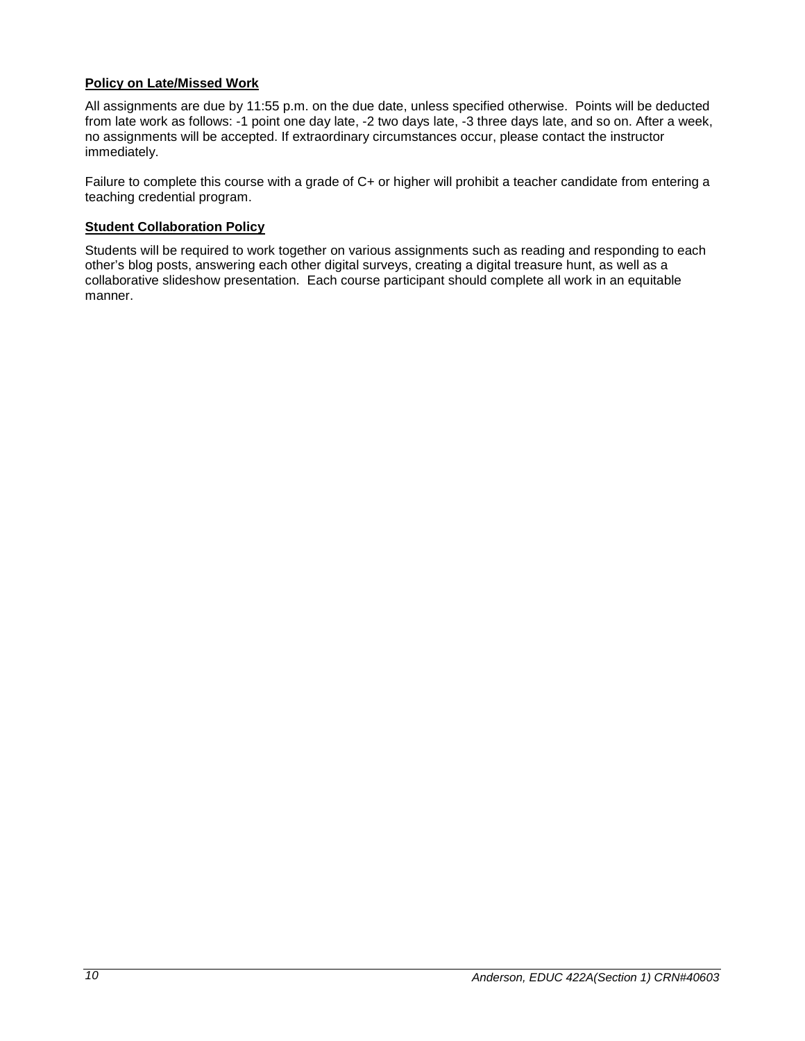# <span id="page-9-0"></span>**Policy on Late/Missed Work**

All assignments are due by 11:55 p.m. on the due date, unless specified otherwise. Points will be deducted from late work as follows: -1 point one day late, -2 two days late, -3 three days late, and so on. After a week, no assignments will be accepted. If extraordinary circumstances occur, please contact the instructor immediately.

Failure to complete this course with a grade of C+ or higher will prohibit a teacher candidate from entering a teaching credential program.

### <span id="page-9-1"></span>**Student Collaboration Policy**

Students will be required to work together on various assignments such as reading and responding to each other's blog posts, answering each other digital surveys, creating a digital treasure hunt, as well as a collaborative slideshow presentation. Each course participant should complete all work in an equitable manner.